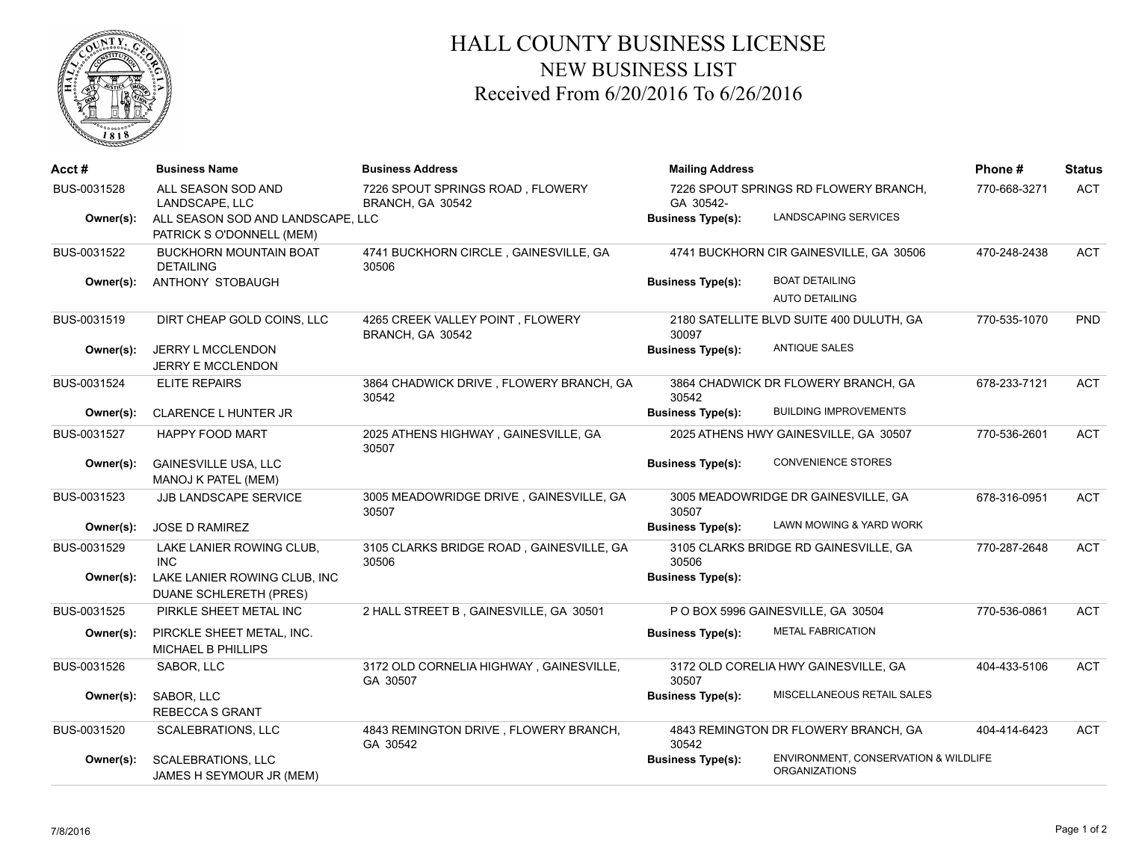

## HALL COUNTY BUSINESS LICENSE NEW BUSINESS LIST Received From 6/20/2016 To 6/26/2016

| Acct#       | <b>Business Name</b>                                           | <b>Business Address</b>                              | <b>Mailing Address</b>                             |                                                              | Phone#       | <b>Status</b> |
|-------------|----------------------------------------------------------------|------------------------------------------------------|----------------------------------------------------|--------------------------------------------------------------|--------------|---------------|
| BUS-0031528 | ALL SEASON SOD AND<br>LANDSCAPE. LLC                           | 7226 SPOUT SPRINGS ROAD, FLOWERY<br>BRANCH, GA 30542 | 7226 SPOUT SPRINGS RD FLOWERY BRANCH,<br>GA 30542- |                                                              | 770-668-3271 | <b>ACT</b>    |
| Owner(s):   | ALL SEASON SOD AND LANDSCAPE, LLC<br>PATRICK S O'DONNELL (MEM) |                                                      | <b>Business Type(s):</b>                           | LANDSCAPING SERVICES                                         |              |               |
| BUS-0031522 | <b>BUCKHORN MOUNTAIN BOAT</b><br><b>DETAILING</b>              | 4741 BUCKHORN CIRCLE, GAINESVILLE, GA<br>30506       |                                                    | 4741 BUCKHORN CIR GAINESVILLE, GA 30506                      | 470-248-2438 | <b>ACT</b>    |
| Owner(s):   | ANTHONY STOBAUGH                                               |                                                      | <b>Business Type(s):</b>                           | <b>BOAT DETAILING</b><br><b>AUTO DETAILING</b>               |              |               |
| BUS-0031519 | DIRT CHEAP GOLD COINS, LLC                                     | 4265 CREEK VALLEY POINT, FLOWERY<br>BRANCH, GA 30542 | 30097                                              | 2180 SATELLITE BLVD SUITE 400 DULUTH, GA                     | 770-535-1070 | <b>PND</b>    |
| Owner(s):   | <b>JERRY L MCCLENDON</b><br>JERRY E MCCLENDON                  |                                                      | <b>Business Type(s):</b>                           | <b>ANTIQUE SALES</b>                                         |              |               |
| BUS-0031524 | ELITE REPAIRS                                                  | 3864 CHADWICK DRIVE, FLOWERY BRANCH, GA<br>30542     | 30542                                              | 3864 CHADWICK DR FLOWERY BRANCH, GA                          | 678-233-7121 | <b>ACT</b>    |
| Owner(s):   | <b>CLARENCE L HUNTER JR</b>                                    |                                                      | <b>Business Type(s):</b>                           | <b>BUILDING IMPROVEMENTS</b>                                 |              |               |
| BUS-0031527 | <b>HAPPY FOOD MART</b>                                         | 2025 ATHENS HIGHWAY, GAINESVILLE, GA<br>30507        |                                                    | 2025 ATHENS HWY GAINESVILLE, GA 30507                        | 770-536-2601 | <b>ACT</b>    |
| Owner(s):   | <b>GAINESVILLE USA, LLC</b><br>MANOJ K PATEL (MEM)             |                                                      | <b>Business Type(s):</b>                           | <b>CONVENIENCE STORES</b>                                    |              |               |
| BUS-0031523 | <b>JJB LANDSCAPE SERVICE</b>                                   | 3005 MEADOWRIDGE DRIVE, GAINESVILLE, GA<br>30507     | 30507                                              | 3005 MEADOWRIDGE DR GAINESVILLE, GA                          | 678-316-0951 | <b>ACT</b>    |
| Owner(s):   | <b>JOSE D RAMIREZ</b>                                          |                                                      | <b>Business Type(s):</b>                           | LAWN MOWING & YARD WORK                                      |              |               |
| BUS-0031529 | LAKE LANIER ROWING CLUB.<br><b>INC</b>                         | 3105 CLARKS BRIDGE ROAD, GAINESVILLE, GA<br>30506    | 30506                                              | 3105 CLARKS BRIDGE RD GAINESVILLE, GA                        | 770-287-2648 | <b>ACT</b>    |
| Owner(s):   | LAKE LANIER ROWING CLUB, INC<br>DUANE SCHLERETH (PRES)         |                                                      | <b>Business Type(s):</b>                           |                                                              |              |               |
| BUS-0031525 | PIRKLE SHEET METAL INC                                         | 2 HALL STREET B, GAINESVILLE, GA 30501               |                                                    | P O BOX 5996 GAINESVILLE, GA 30504                           | 770-536-0861 | <b>ACT</b>    |
| Owner(s):   | PIRCKLE SHEET METAL, INC.<br>MICHAEL B PHILLIPS                |                                                      | <b>Business Type(s):</b>                           | <b>METAL FABRICATION</b>                                     |              |               |
| BUS-0031526 | SABOR, LLC                                                     | 3172 OLD CORNELIA HIGHWAY, GAINESVILLE,<br>GA 30507  | 30507                                              | 3172 OLD CORELIA HWY GAINESVILLE, GA                         | 404-433-5106 | <b>ACT</b>    |
| Owner(s):   | SABOR, LLC<br><b>REBECCA S GRANT</b>                           |                                                      | <b>Business Type(s):</b>                           | MISCELLANEOUS RETAIL SALES                                   |              |               |
| BUS-0031520 | <b>SCALEBRATIONS, LLC</b>                                      | 4843 REMINGTON DRIVE, FLOWERY BRANCH,<br>GA 30542    | 30542                                              | 4843 REMINGTON DR FLOWERY BRANCH, GA                         | 404-414-6423 | <b>ACT</b>    |
| Owner(s):   | <b>SCALEBRATIONS, LLC</b><br>JAMES H SEYMOUR JR (MEM)          |                                                      | <b>Business Type(s):</b>                           | ENVIRONMENT, CONSERVATION & WILDLIFE<br><b>ORGANIZATIONS</b> |              |               |